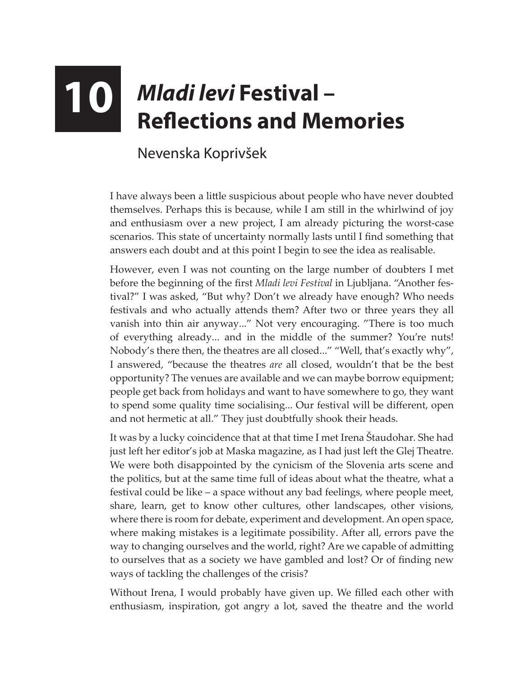## **10** *Mladi levi* **Festival – Reflections and Memories**

## Nevenska Koprivšek

I have always been a little suspicious about people who have never doubted themselves. Perhaps this is because, while I am still in the whirlwind of joy and enthusiasm over a new project, I am already picturing the worst-case scenarios. This state of uncertainty normally lasts until I find something that answers each doubt and at this point I begin to see the idea as realisable.

However, even I was not counting on the large number of doubters I met before the beginning of the first *Mladi levi Festival* in Ljubljana. "Another festival?" I was asked, "But why? Don't we already have enough? Who needs festivals and who actually attends them? After two or three years they all vanish into thin air anyway..." Not very encouraging. "There is too much of everything already... and in the middle of the summer? You're nuts! Nobody's there then, the theatres are all closed..." "Well, that's exactly why", I answered, "because the theatres *are* all closed, wouldn't that be the best opportunity? The venues are available and we can maybe borrow equipment; people get back from holidays and want to have somewhere to go, they want to spend some quality time socialising... Our festival will be different, open and not hermetic at all." They just doubtfully shook their heads.

It was by a lucky coincidence that at that time I met Irena Štaudohar. She had just left her editor's job at Maska magazine, as I had just left the Glej Theatre. We were both disappointed by the cynicism of the Slovenia arts scene and the politics, but at the same time full of ideas about what the theatre, what a festival could be like – a space without any bad feelings, where people meet, share, learn, get to know other cultures, other landscapes, other visions, where there is room for debate, experiment and development. An open space, where making mistakes is a legitimate possibility. After all, errors pave the way to changing ourselves and the world, right? Are we capable of admitting to ourselves that as a society we have gambled and lost? Or of finding new ways of tackling the challenges of the crisis?

Without Irena, I would probably have given up. We filled each other with enthusiasm, inspiration, got angry a lot, saved the theatre and the world